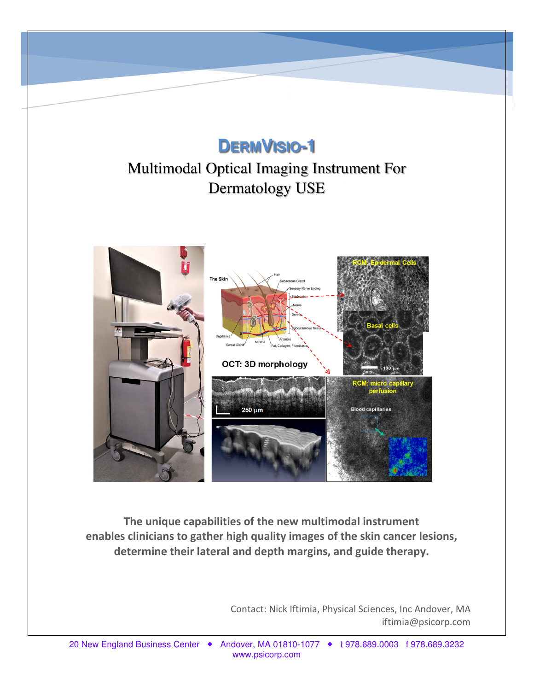# **DERMVISIO-1**

# Multimodal Optical Imaging Instrument For Dermatology USE



**The unique capabilities of the new multimodal instrument enables clinicians to gather high quality images of the skin cancer lesions, determine their lateral and depth margins, and guide therapy.**

> Contact: Nick Iftimia, Physical Sciences, Inc Andover, MA iftimia@psicorp.com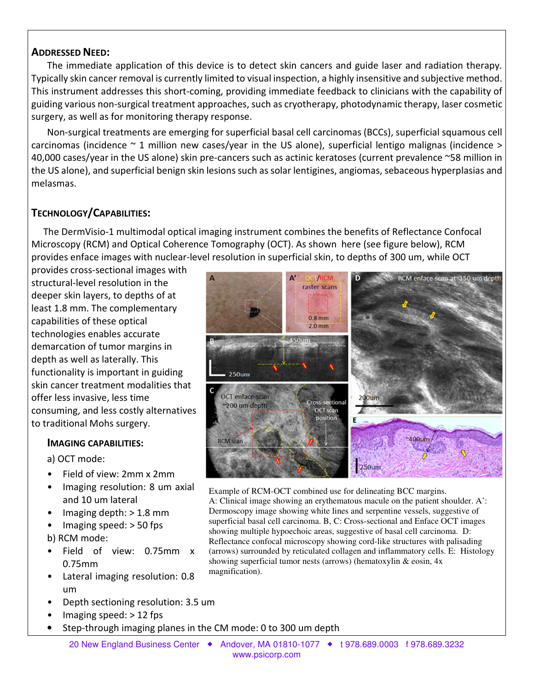### **ADDRESSED NEED:**

The immediate application of this device is to detect skin cancers and guide laser and radiation therapy. Typically skin cancer removal is currently limited to visual inspection, a highly insensitive and subjective method. This instrument addresses this short-coming, providing immediate feedback to clinicians with the capability of guiding various non-surgical treatment approaches, such as cryotherapy, photodynamic therapy, laser cosmetic surgery, as well as for monitoring therapy response.

Non-surgical treatments are emerging for superficial basal cell carcinomas (BCCs), superficial squamous cell carcinomas (incidence  $\sim$  1 million new cases/year in the US alone), superficial lentigo malignas (incidence  $>$ 40,000 cases/year in the US alone) skin pre-cancers such as actinic keratoses (current prevalence ~58 million in the US alone), and superficial benign skin lesions such as solar lentigines, angiomas, sebaceous hyperplasias and melasmas.

## **TECHNOLOGY/CAPABILITIES:**

 The DermVisio-1 multimodal optical imaging instrument combines the benefits of Reflectance Confocal Microscopy (RCM) and Optical Coherence Tomography (OCT). As shown here (see figure below), RCM provides enface images with nuclear-level resolution in superficial skin, to depths of 300 um, while OCT

provides cross-sectional images with structural-level resolution in the deeper skin layers, to depths of at least 1.8 mm. The complementary capabilities of these optical technologies enables accurate demarcation of tumor margins in depth as well as laterally. This functionality is important in guiding skin cancer treatment modalities that offer less invasive, less time consuming, and less costly alternatives to traditional Mohs surgery.

### **IMAGING CAPABILITIES:**

a) OCT mode:

- Field of view: 2mm x 2mm
- Imaging resolution: 8 um axial and 10 um lateral
- Imaging depth: > 1.8 mm
- Imaging speed: > 50 fps

b) RCM mode:

- Field of view: 0.75mm x 0.75mm
- Lateral imaging resolution: 0.8 um
- Depth sectioning resolution: 3.5 um
- Imaging speed: > 12 fps
- Step-through imaging planes in the CM mode: 0 to 300 um depth



Example of RCM-OCT combined use for delineating BCC margins. A: Clinical image showing an erythematous macule on the patient shoulder. A': Dermoscopy image showing white lines and serpentine vessels, suggestive of superficial basal cell carcinoma. B, C: Cross-sectional and Enface OCT images showing multiple hypoechoic areas, suggestive of basal cell carcinoma. D: Reflectance confocal microscopy showing cord-like structures with palisading (arrows) surrounded by reticulated collagen and inflammatory cells. E: Histology showing superficial tumor nests (arrows) (hematoxylin & eosin, 4x magnification).